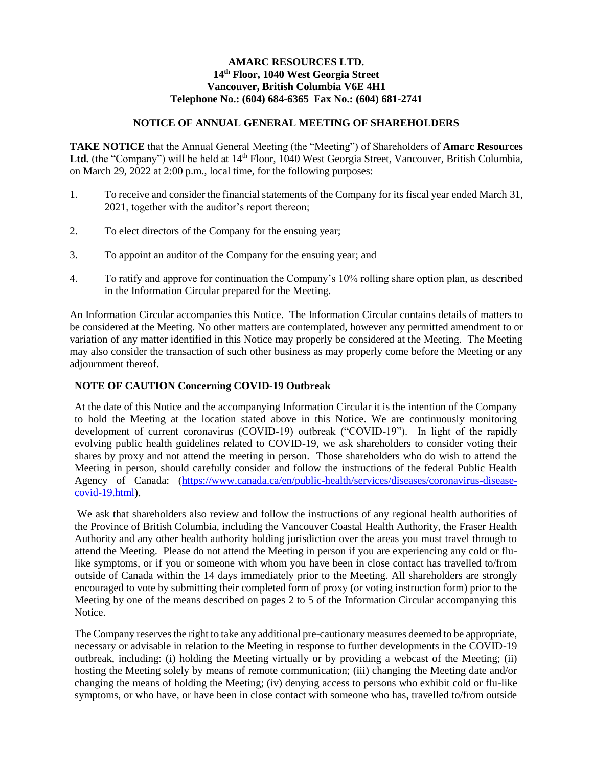## **AMARC RESOURCES LTD. 14 th Floor, 1040 West Georgia Street Vancouver, British Columbia V6E 4H1 Telephone No.: (604) 684-6365 Fax No.: (604) 681-2741**

## **NOTICE OF ANNUAL GENERAL MEETING OF SHAREHOLDERS**

**TAKE NOTICE** that the Annual General Meeting (the "Meeting") of Shareholders of **Amarc Resources**  Ltd. (the "Company") will be held at 14<sup>th</sup> Floor, 1040 West Georgia Street, Vancouver, British Columbia, on March 29, 2022 at 2:00 p.m., local time, for the following purposes:

- 1. To receive and consider the financial statements of the Company for its fiscal year ended March 31, 2021, together with the auditor's report thereon;
- 2. To elect directors of the Company for the ensuing year;
- 3. To appoint an auditor of the Company for the ensuing year; and
- 4. To ratify and approve for continuation the Company's 10% rolling share option plan, as described in the Information Circular prepared for the Meeting.

An Information Circular accompanies this Notice. The Information Circular contains details of matters to be considered at the Meeting. No other matters are contemplated, however any permitted amendment to or variation of any matter identified in this Notice may properly be considered at the Meeting. The Meeting may also consider the transaction of such other business as may properly come before the Meeting or any adjournment thereof.

## **NOTE OF CAUTION Concerning COVID-19 Outbreak**

At the date of this Notice and the accompanying Information Circular it is the intention of the Company to hold the Meeting at the location stated above in this Notice. We are continuously monitoring development of current coronavirus (COVID-19) outbreak ("COVID-19"). In light of the rapidly evolving public health guidelines related to COVID-19, we ask shareholders to consider voting their shares by proxy and not attend the meeting in person. Those shareholders who do wish to attend the Meeting in person, should carefully consider and follow the instructions of the federal Public Health Agency of Canada: [\(https://www.canada.ca/en/public-health/services/diseases/coronavirus-disease](https://www.canada.ca/en/public-health/services/diseases/coronavirus-disease-covid-19.html)[covid-19.html\)](https://www.canada.ca/en/public-health/services/diseases/coronavirus-disease-covid-19.html).

We ask that shareholders also review and follow the instructions of any regional health authorities of the Province of British Columbia, including the Vancouver Coastal Health Authority, the Fraser Health Authority and any other health authority holding jurisdiction over the areas you must travel through to attend the Meeting. Please do not attend the Meeting in person if you are experiencing any cold or flulike symptoms, or if you or someone with whom you have been in close contact has travelled to/from outside of Canada within the 14 days immediately prior to the Meeting. All shareholders are strongly encouraged to vote by submitting their completed form of proxy (or voting instruction form) prior to the Meeting by one of the means described on pages 2 to 5 of the Information Circular accompanying this Notice.

The Company reserves the right to take any additional pre-cautionary measures deemed to be appropriate, necessary or advisable in relation to the Meeting in response to further developments in the COVID-19 outbreak, including: (i) holding the Meeting virtually or by providing a webcast of the Meeting; (ii) hosting the Meeting solely by means of remote communication; (iii) changing the Meeting date and/or changing the means of holding the Meeting; (iv) denying access to persons who exhibit cold or flu-like symptoms, or who have, or have been in close contact with someone who has, travelled to/from outside